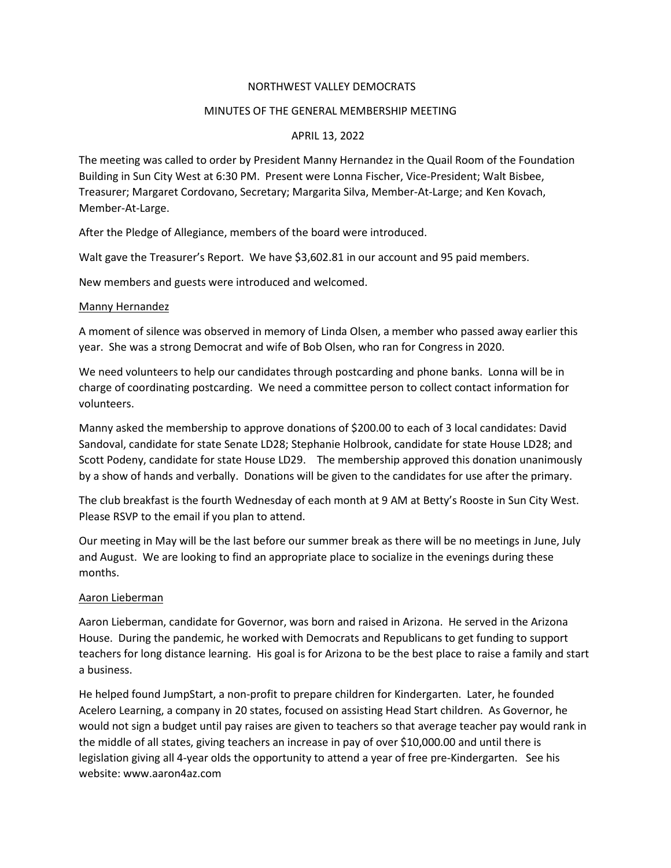## NORTHWEST VALLEY DEMOCRATS

### MINUTES OF THE GENERAL MEMBERSHIP MEETING

# APRIL 13, 2022

The meeting was called to order by President Manny Hernandez in the Quail Room of the Foundation Building in Sun City West at 6:30 PM. Present were Lonna Fischer, Vice-President; Walt Bisbee, Treasurer; Margaret Cordovano, Secretary; Margarita Silva, Member-At-Large; and Ken Kovach, Member-At-Large.

After the Pledge of Allegiance, members of the board were introduced.

Walt gave the Treasurer's Report. We have \$3,602.81 in our account and 95 paid members.

New members and guests were introduced and welcomed.

#### Manny Hernandez

A moment of silence was observed in memory of Linda Olsen, a member who passed away earlier this year. She was a strong Democrat and wife of Bob Olsen, who ran for Congress in 2020.

We need volunteers to help our candidates through postcarding and phone banks. Lonna will be in charge of coordinating postcarding. We need a committee person to collect contact information for volunteers.

Manny asked the membership to approve donations of \$200.00 to each of 3 local candidates: David Sandoval, candidate for state Senate LD28; Stephanie Holbrook, candidate for state House LD28; and Scott Podeny, candidate for state House LD29. The membership approved this donation unanimously by a show of hands and verbally. Donations will be given to the candidates for use after the primary.

The club breakfast is the fourth Wednesday of each month at 9 AM at Betty's Rooste in Sun City West. Please RSVP to the email if you plan to attend.

Our meeting in May will be the last before our summer break as there will be no meetings in June, July and August. We are looking to find an appropriate place to socialize in the evenings during these months.

#### Aaron Lieberman

Aaron Lieberman, candidate for Governor, was born and raised in Arizona. He served in the Arizona House. During the pandemic, he worked with Democrats and Republicans to get funding to support teachers for long distance learning. His goal is for Arizona to be the best place to raise a family and start a business.

He helped found JumpStart, a non-profit to prepare children for Kindergarten. Later, he founded Acelero Learning, a company in 20 states, focused on assisting Head Start children. As Governor, he would not sign a budget until pay raises are given to teachers so that average teacher pay would rank in the middle of all states, giving teachers an increase in pay of over \$10,000.00 and until there is legislation giving all 4-year olds the opportunity to attend a year of free pre-Kindergarten. See his website: www.aaron4az.com